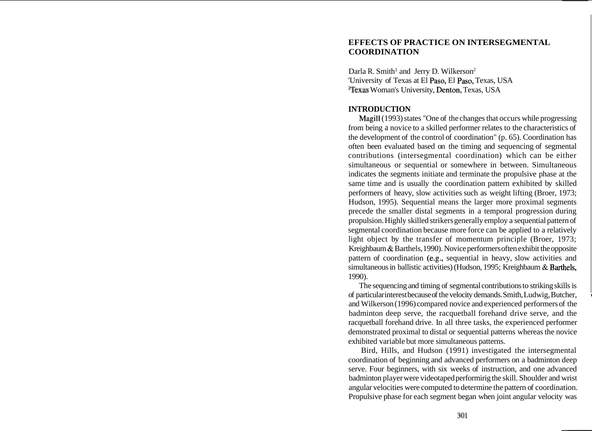# **EFFECTS OF PRACTICE ON INTERSEGMENTAL COORDINATION**

Darla R. Smith<sup>1</sup> and Jerry D. Wilkerson<sup>2</sup> 'University of Texas at El Paso, El Paso, Texas, USA 2Texas Woman's University, Denton, Texas, USA

# **INTRODUCTION**

Magill (1993) states "One of the changes that occurs while progressing from being a novice to a skilled performer relates to the characteristics of the development of the control of coordination" (p. 65). Coordination has often been evaluated based on the timing and sequencing of segmental contributions (intersegmental coordination) which can be either simultaneous or sequential or somewhere in between. Simultaneous indicates the segments initiate and terminate the propulsive phase at the same time and is usually the coordination pattern exhibited by skilled performers of heavy, slow activities such as weight lifting (Broer, 1973; Hudson, 1995). Sequential means the larger more proximal segments precede the smaller distal segments in a temporal progression during propulsion. Highly skilled strikers generally employ a sequential pattern of segmental coordination because more force can be applied to a relatively light object by the transfer of momentum principle (Broer, 1973; Kreighbaum & Barthels, 1990). Novice performers often exhibit the opposite pattern of coordination (e.g., sequential in heavy, slow activities and simultaneous in ballistic activities) (Hudson, 1995; Kreighbaum & Barthels, 1990).

The sequencing and timing of segmental contributions to striking skills is of particular interest because of the velocity demands. Smith, Ludwig, Butcher, and Wilkerson (1996) compared novice and experienced performers of the badminton deep serve, the racquetball forehand drive serve, and the racquetball forehand drive. In all three tasks, the experienced performer demonstrated proximal to distal or sequential patterns whereas the novice exhibited variable but more simultaneous patterns.

Bird, Hills, and Hudson (1991) investigated the intersegmental coordination of beginning and advanced performers on a badminton deep serve. Four beginners, with six weeks of instruction, and one advanced badminton player were videotaped performirig the skill. Shoulder and wrist angular velocities were computed to determine the pattern of coordination. Propulsive phase for each segment began when joint angular velocity was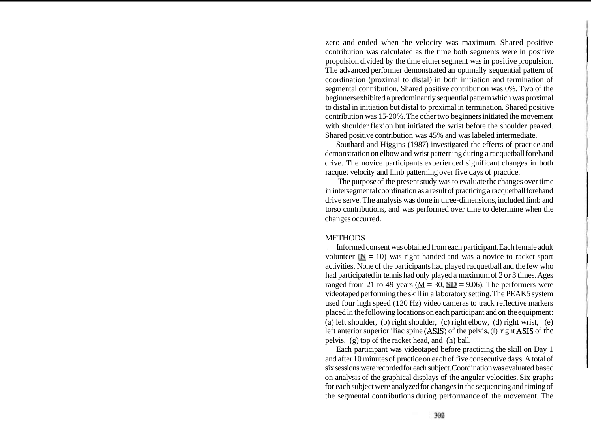zero and ended when the velocity was maximum. Shared positive contribution was calculated as the time both segments were in positive propulsion divided by the time either segment was in positive propulsion. The advanced performer demonstrated an optimally sequential pattern of coordination (proximal to distal) in both initiation and termination of segmental contribution. Shared positive contribution was 0%. Two of the beginners exhibited a predominantly sequential pattern which was proximal to distal in initiation but distal to proximal in termination. Shared positive contribution was 15-20%. The other two beginners initiated the movement with shoulder flexion but initiated the wrist before the shoulder peaked. Shared positive contribution was 45% and was labeled intermediate.

Southard and Higgins (1987) investigated the effects of practice and demonstration on elbow and wrist patterning during a racquetball forehand drive. The novice participants experienced significant changes in both racquet velocity and limb patterning over five days of practice.

The purpose of the present study was to evaluate the changes over time in intersegmental coordination as a result of practicing a racquetball forehand drive serve. The analysis was done in three-dimensions, included limb and torso contributions, and was performed over time to determine when the changes occurred.

### **METHODS**

. Informed consent was obtained from each participant. Each female adult volunteer  $(N = 10)$  was right-handed and was a novice to racket sport activities. None of the participants had played racquetball and the few who had participated in tennis had only played a maximum of 2 or 3 times. Ages ranged from 21 to 49 years ( $M = 30$ ,  $SD = 9.06$ ). The performers were videotaped performing the skill in a laboratory setting. The PEAK5 system used four high speed (120 Hz) video cameras to track reflective markers placed in the following locations on each participant and on the equipment: (a) left shoulder, (b) right shoulder, (c) right elbow, (d) right wrist, (e) left anterior superior iliac spine (ASIS) of the pelvis, (f) right ASIS of the pelvis, (g) top of the racket head, and (h) ball.

Each participant was videotaped before practicing the skill on Day 1 and after 10 minutes of practice on each of five consecutive days. A total of six sessions were recorded for each subject. Coordination was evaluated based on analysis of the graphical displays of the angular velocities. Six graphs for each subject were analyzed for changes in the sequencing and timing of the segmental contributions during performance of the movement. The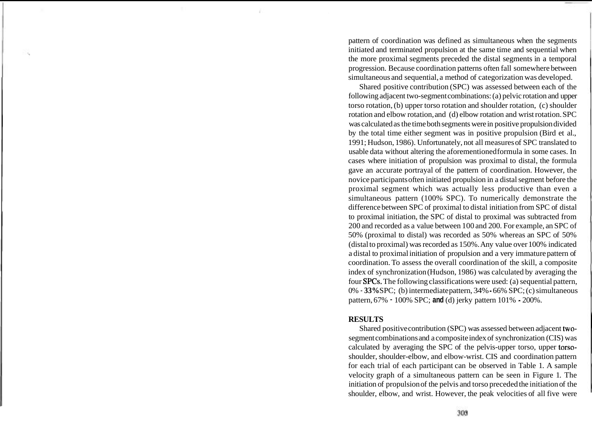pattern of coordination was defined as simultaneous when the segments initiated and terminated propulsion at the same time and sequential when the more proximal segments preceded the distal segments in a temporal progression. Because coordination patterns often fall somewhere between simultaneous and sequential, a method of categorization was developed.

Shared positive contribution (SPC) was assessed between each of the following adjacent two-segment combinations: (a) pelvic rotation and upper torso rotation, (b) upper torso rotation and shoulder rotation, (c) shoulder rotation and elbow rotation, and (d) elbow rotation and wrist rotation. SPC was calculated as the time both segments were in positive propulsion divided by the total time either segment was in positive propulsion (Bird et al., 1991; Hudson, 1986). Unfortunately, not all measures of SPC translated to usable data without altering the aforementioned formula in some cases. In cases where initiation of propulsion was proximal to distal, the formula gave an accurate portrayal of the pattern of coordination. However, the novice participants often initiated propulsion in a distal segment before the proximal segment which was actually less productive than even a simultaneous pattern (100% SPC). To numerically demonstrate the difference between SPC of proximal to distal initiation from SPC of distal to proximal initiation, the SPC of distal to proximal was subtracted from 200 and recorded as a value between 100 and 200. For example, an SPC of 50% (proximal to distal) was recorded as 50% whereas an SPC of 50% (distal to proximal) was recorded as 150%. Any value over 100% indicated a distal to proximal initiation of propulsion and a very immature pattern of coordination. To assess the overall coordination of the skill, a composite index of synchronization (Hudson, 1986) was calculated by averaging the four SPCs. The following classifications were used: (a) sequential pattern, 0% - **33%** SPC; (b) intermediate pattern, 34% - 66% SPC; (c) simultaneous pattern, 67% - 100% SPC; **and** (d) jerky pattern 101% - 200%.

#### **RESULTS**

Shared positive contribution (SPC) was assessed between adjacent twosegment combinations and a composite index of synchronization (CIS) was calculated by averaging the SPC of the pelvis-upper torso, upper torsoshoulder, shoulder-elbow, and elbow-wrist. CIS and coordination pattern for each trial of each participant can be observed in Table 1. A sample velocity graph of a simultaneous pattern can be seen in Figure 1. The initiation of propulsion of the pelvis and torso preceded the initiation of the shoulder, elbow, and wrist. However, the peak velocities of all five were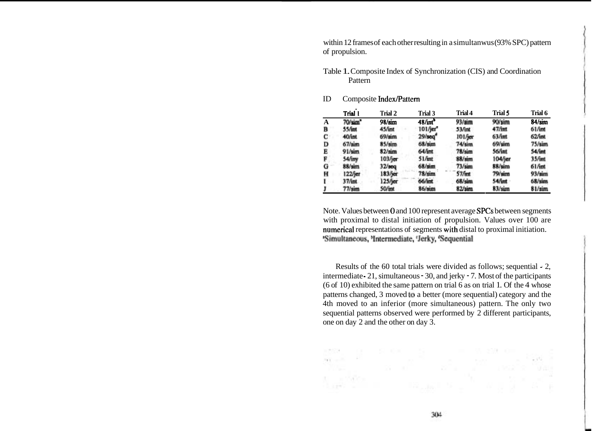within 12 frames of each other resulting in a simultanwus (93% SPC) pattern of propulsion.

Table 1. Composite Index of Synchronization (CIS) and Coordination Pattern

|   | Trial 1             | Trial 2         | Trial 3               | Trial 4           | Trial 5   | Trial 6         |
|---|---------------------|-----------------|-----------------------|-------------------|-----------|-----------------|
| A | 70/sim <sup>*</sup> | 98/sim          | 48/int <sup>b</sup>   | 93/sim            | 90/sim    | $84/\sin$       |
| в | 55/int              | 45/int          | $101$ /jer $^{\circ}$ | 53/int            | 47/1nt    | 61/mt           |
| С | 40/int              | $69/\text{sim}$ | $29/\mathrm{seq}^6$   | 101/jer           | 63/int    | $62$ fint       |
| D | $67/\text{sim}$     | $85/\text{sim}$ | 68/sim                | 74/sim            | 69/sim    | 75/sim          |
| Е | 91/sim              | $82/\text{sim}$ | 64/int                | $78/\text{sum}$   | 56/int    | 54/int          |
| F | 54/iny              | $103$ fjer      | 51/mt                 | $88/\text{sim}$   | 104/jer   | 35/mt           |
| Ġ | $88/\sin$           | $32$ /seq       | $68/\text{sim}$       | $73/\mathrm{sim}$ | 88/sim    | $61$ fint       |
| н | 122/jer             | 183/jer         | $78/\text{sim}$       | 57/int            | $79/\sin$ | $93/\text{sim}$ |
| ı | 37/int              | $125$ fjer      | 66/int                | $68/\text{sim}$   | 54/int    | $68/\text{sim}$ |
| J | $77/\mathrm{sim}$   | 50/int          | $86/\nmathrm{sim}$    | 82/sim            | 83/sim    | 81/sim          |

### ID Composite Index/Pattern

Note. Values between 0 and 100 represent average SPCs between segments with proximal to distal initiation of propulsion. Values over 100 are numerical representations of segments with distal to proximal initiation. <sup>\*</sup>Simultaneous, <sup>h</sup>Intermediate, <sup>e</sup>Jerky, <sup>a</sup>Sequential

Results of the 60 total trials were divided as follows; sequential - 2, intermediate - 21, simultaneous - 30, and jerky - 7. Most of the participants (6 of 10) exhibited the same pattern on trial 6 as on trial 1. Of the 4 whose patterns changed, 3 moved to a better (more sequential) category and the 4th moved to an inferior (more simultaneous) pattern. The only two sequential patterns observed were performed by 2 different participants, one on day 2 and the other on day 3.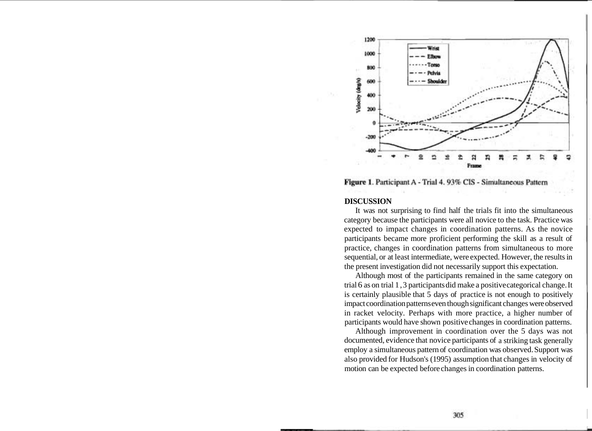

Figure 1. Participant A - Trial 4. 93% CIS - Simultaneous Pattern

#### **DISCUSSION**

It was not surprising to find half the trials fit into the simultaneous category because the participants were all novice to the task. Practice was expected to impact changes in coordination patterns. As the novice participants became more proficient performing the skill as a result of practice, changes in coordination patterns from simultaneous to more sequential, or at least intermediate, were expected. However, the results in the present investigation did not necessarily support this expectation.

Although most of the participants remained in the same category on trial 6 as on trial 1,3 participants did make a positive categorical change. It is certainly plausible that 5 days of practice is not enough to positively impact coordination patterns even though significant changes were observed in racket velocity. Perhaps with more practice, a higher number of participants would have shown positive changes in coordination patterns.

Although improvement in coordination over the 5 days was not documented, evidence that novice participants of a striking task generally employ a simultaneous pattern of coordination was observed. Support was also provided for Hudson's (1995) assumption that changes in velocity of motion can be expected before changes in coordination patterns.